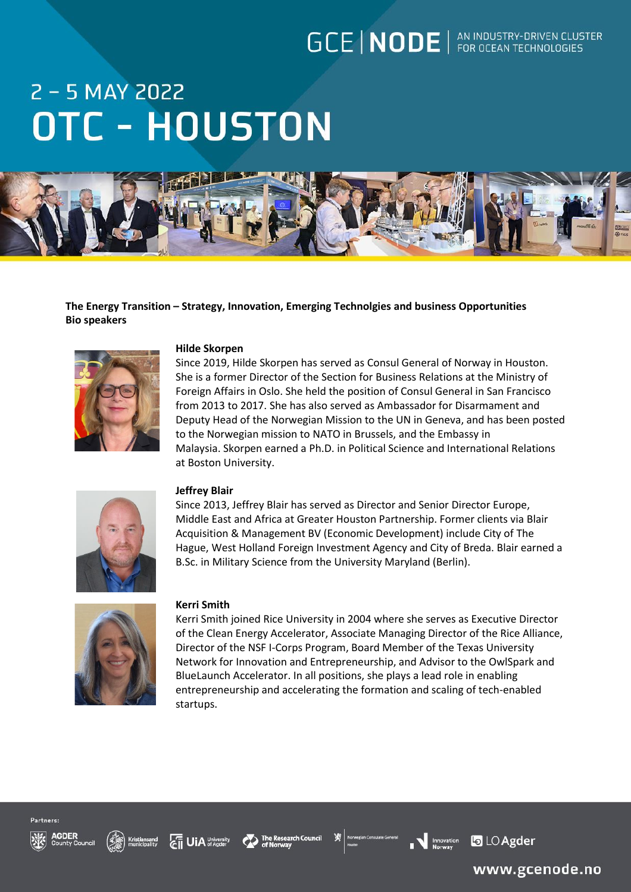### **GCE | NODE** | AN INDUSTRY-DRIVEN CLUSTER

# 2 - 5 MAY 2022 **OTC - HOUSTON**



**The Energy Transition – Strategy, Innovation, Emerging Technolgies and business Opportunities Bio speakers**



### **Hilde Skorpen**

Since 2019, Hilde Skorpen has served as Consul General of Norway in Houston. She is a former Director of the Section for Business Relations at the Ministry of Foreign Affairs in Oslo. She held the position of Consul General in San Francisco from 2013 to 2017. She has also served as Ambassador for Disarmament and Deputy Head of the Norwegian Mission to the UN in Geneva, and has been posted to the Norwegian mission to NATO in Brussels, and the Embassy in Malaysia. Skorpen earned a Ph.D. in Political Science and International Relations at Boston University.



### **Jeffrey Blair**

Since 2013, Jeffrey Blair has served as Director and Senior Director Europe, Middle East and Africa at Greater Houston Partnership. Former clients via Blair Acquisition & Management BV (Economic Development) include City of The Hague, West Holland Foreign Investment Agency and City of Breda. Blair earned a B.Sc. in Military Science from the University Maryland (Berlin).



#### **Kerri Smith**

Kerri Smith joined Rice University in 2004 where she serves as Executive Director of the Clean Energy Accelerator, Associate Managing Director of the Rice Alliance, Director of the NSF I-Corps Program, Board Member of the Texas University Network for Innovation and Entrepreneurship, and Advisor to the OwlSpark and BlueLaunch Accelerator. In all positions, she plays a lead role in enabling entrepreneurship and accelerating the formation and scaling of tech-enabled startups.













www.gcenode.no